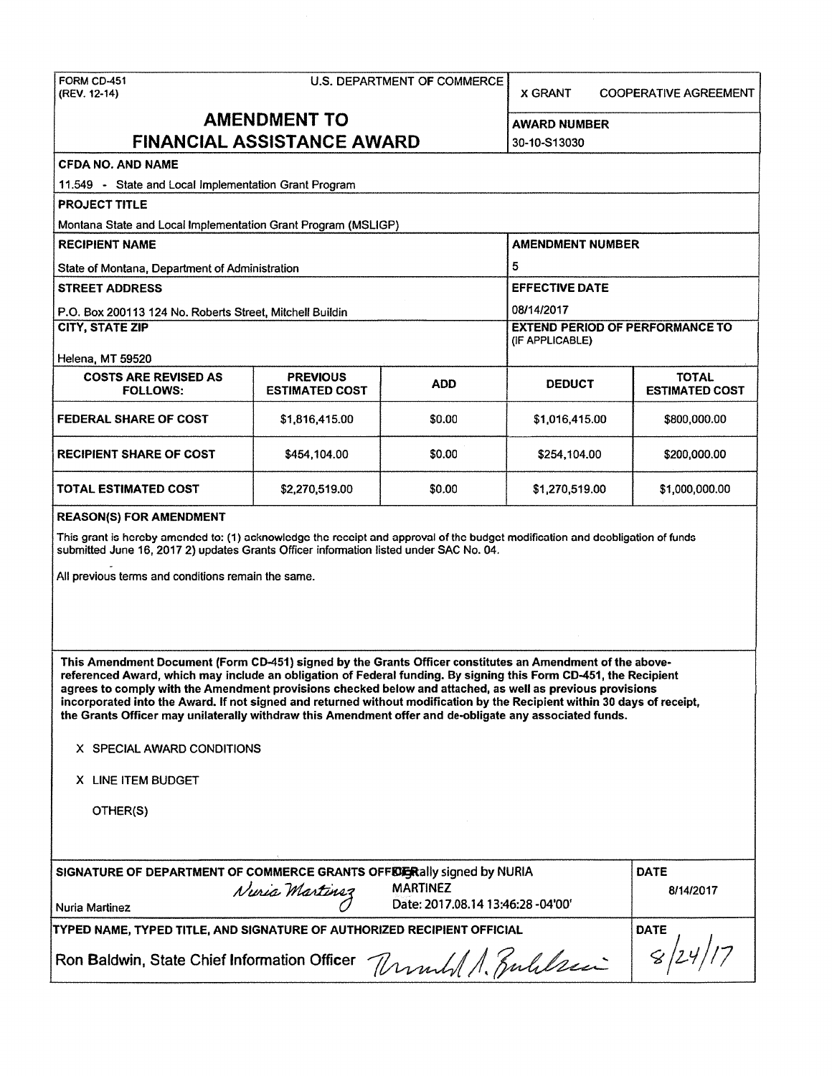## FORM CD-451 U.S. DEPARTMENT OF COMMERCE

(REV. 12-14) X GRANT COOPERATIVE AGREEMENT

| <b>AMENDMENT TO</b><br><b>FINANCIAL ASSISTANCE AWARD</b>                                                                       |                                          |            | <b>AWARD NUMBER</b>                                       |                                       |
|--------------------------------------------------------------------------------------------------------------------------------|------------------------------------------|------------|-----------------------------------------------------------|---------------------------------------|
|                                                                                                                                |                                          |            | 30-10-S13030                                              |                                       |
| <b>CFDA NO. AND NAME</b>                                                                                                       |                                          |            |                                                           |                                       |
| 11.549 - State and Local Implementation Grant Program                                                                          |                                          |            |                                                           |                                       |
| <b>PROJECT TITLE</b>                                                                                                           |                                          |            |                                                           |                                       |
| Montana State and Local Implementation Grant Program (MSLIGP)                                                                  |                                          |            |                                                           |                                       |
| <b>RECIPIENT NAME</b>                                                                                                          |                                          |            | <b>AMENDMENT NUMBER</b>                                   |                                       |
| State of Montana, Department of Administration                                                                                 |                                          |            | 5                                                         |                                       |
| <b>STREET ADDRESS</b>                                                                                                          |                                          |            | <b>EFFECTIVE DATE</b>                                     |                                       |
| P.O. Box 200113 124 No. Roberts Street, Mitchell Buildin                                                                       |                                          |            | 08/14/2017                                                |                                       |
| <b>CITY. STATE ZIP</b>                                                                                                         |                                          |            | <b>EXTEND PERIOD OF PERFORMANCE TO</b><br>(IF APPLICABLE) |                                       |
| Helena, MT 59520                                                                                                               |                                          |            |                                                           |                                       |
| <b>COSTS ARE REVISED AS</b><br><b>FOLLOWS:</b>                                                                                 | <b>PREVIOUS</b><br><b>ESTIMATED COST</b> | <b>ADD</b> | <b>DEDUCT</b>                                             | <b>TOTAL</b><br><b>ESTIMATED COST</b> |
| <b>FEDERAL SHARE OF COST</b>                                                                                                   | \$1,816,415.00                           | \$0.00     | \$1,016,415.00                                            | \$800,000.00                          |
| <b>RECIPIENT SHARE OF COST</b>                                                                                                 | \$454,104.00                             | \$0.00     | \$254,104.00                                              | \$200,000.00                          |
| <b>TOTAL ESTIMATED COST</b><br>\$0.00<br>\$2,270,519.00                                                                        |                                          |            | \$1,270,519.00                                            | \$1,000,000.00                        |
| <b>REASON(S) FOR AMENDMENT</b>                                                                                                 |                                          |            |                                                           |                                       |
| This grant is hereby amended to: (1) acknowledge the receipt and approval of the budget modification and deobligation of funds |                                          |            |                                                           |                                       |

-

This grant is hereby submitted June 16, 2017 2) updates Grants Officer information listed under SAC No. 04.

All previous terms and conditions remain the same.

**This Amendment Document (Form CD-451) signed by the Grants Officer constitutes an Amendment of the abovereferenced Award, which may include an obligation of Federal funding. By signing this Form CD-451, the Recipient agrees to comply with the Amendment provisions checked below and attached, as well as previous provisions incorporated into the Award. If not signed and returned without modification by the Recipient within 30 days of receipt, the Grants Officer may unilaterally withdraw this Amendment offer and de-obligate any associated funds.** 

| X SPECIAL AWARD CONDITIONS |  |  |  |  |
|----------------------------|--|--|--|--|
|----------------------------|--|--|--|--|

**X** LINE ITEM BUDGET

OTHER(S)

| SIGNATURE OF DEPARTMENT OF COMMERCE GRANTS OFFERE Raily signed by NURIA<br>Nuria Martinez<br>  Nuria Martinez | <b>MARTINEZ</b><br>Date: 2017.08.14 13:46:28 -04'00' | <b>DATE</b><br>8/14/2017 |
|---------------------------------------------------------------------------------------------------------------|------------------------------------------------------|--------------------------|
| TYPED NAME, TYPED TITLE, AND SIGNATURE OF AUTHORIZED RECIPIENT OFFICIAL                                       | <b>DATE</b>                                          |                          |
| Ron Baldwin, State Chief Information Officer $\sqrt{2\pi\hbar\sqrt{2\pi}}$ $ g/24/7\rangle$                   |                                                      |                          |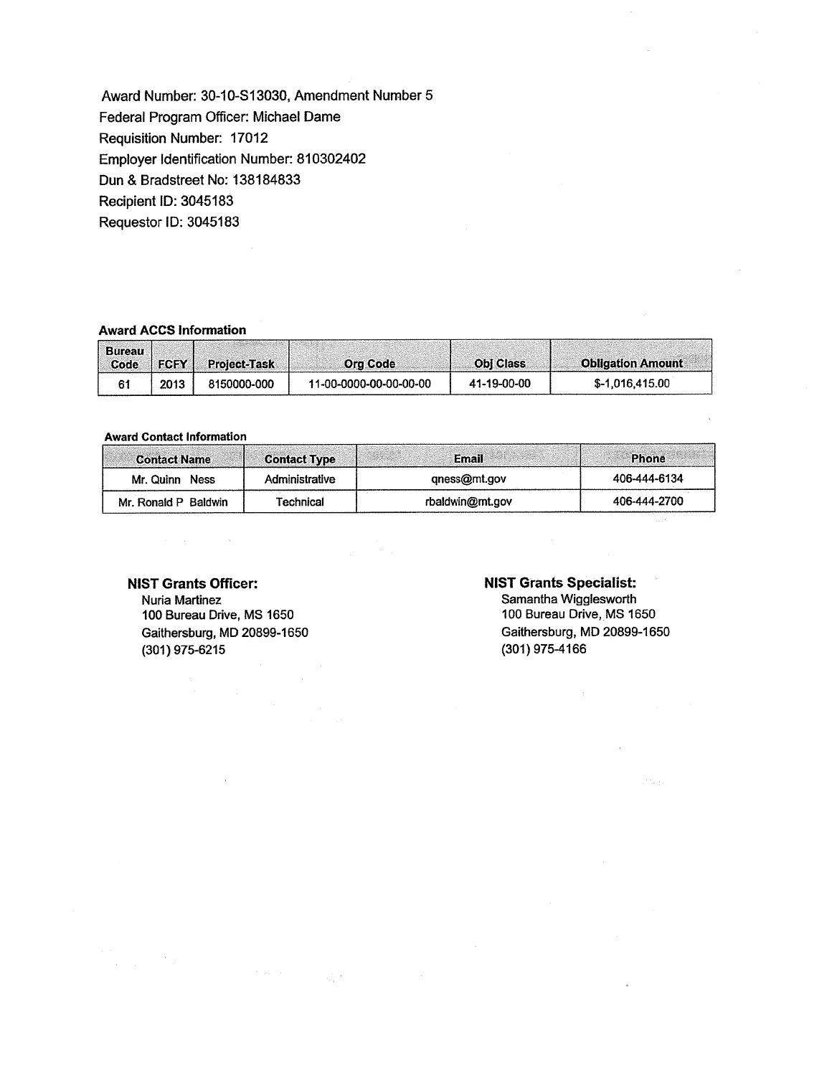Award Number: 30-10-S13030, Amendment Number 5 Federal Program Officer: Michael Dame Requisition Number: 17012 Employer Identification Number: 810302402 Dun & Bradstreet No: 138184833 Recipient ID: 3045183 Requestor ID: 3045183

## **Award ACCS Information**

| <b>Bureau</b><br>Code | FCFY L | <b>Project-Task</b> | <b>Org Code</b>        | <b>Obi Class</b> | <b>Obligation Amount</b> |
|-----------------------|--------|---------------------|------------------------|------------------|--------------------------|
|                       | 2013   | 8150000-000         | 11-00-0000-00-00-00-00 | 41-19-00-00      | \$-1.016,415.00          |

#### **Award Contact Information**

| <b>Contact Name</b>  | <b>Contact Type</b> | <b>Email</b>    | <b>Phone</b> |
|----------------------|---------------------|-----------------|--------------|
| Mr. Quinn<br>Ness    | Administrative      | qness@mt.gov    | 406-444-6134 |
| Mr. Ronald P Baldwin | Technical           | rbaldwin@mt.gov | 406-444-2700 |

# NIST Grants Officer:

 $\mathcal{F}_{\mathcal{A}}$ 

网络木

Nuria Martinez 100 Bureau Drive, MS 1650 Gaithersburg, MD 20899-1650 (301) 975-6215

## **NIST Grants Specialist:**

Samantha Wigglesworth 100 Bureau Drive, MS 1650 Gaithersburg, MD 20899-1650 (301) 975-4166

an<br>Para